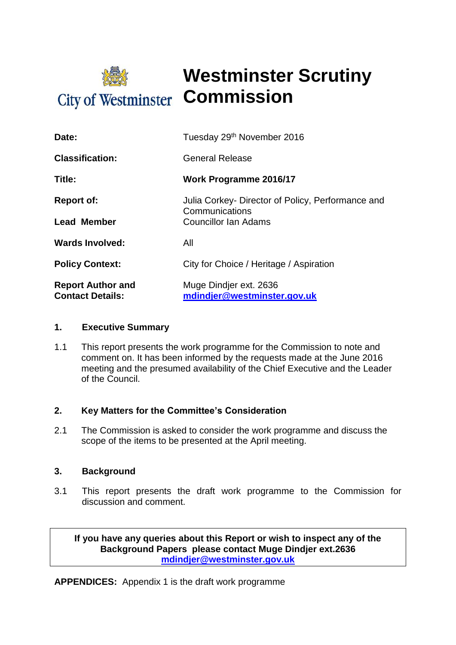

## **Westminster Scrutiny City of Westminster Commission**

| Date:                                               | Tuesday 29th November 2016                                                                         |  |
|-----------------------------------------------------|----------------------------------------------------------------------------------------------------|--|
| <b>Classification:</b>                              | <b>General Release</b>                                                                             |  |
| Title:                                              | <b>Work Programme 2016/17</b>                                                                      |  |
| <b>Report of:</b>                                   | Julia Corkey- Director of Policy, Performance and<br>Communications<br><b>Councillor Ian Adams</b> |  |
| Lead Member                                         |                                                                                                    |  |
| <b>Wards Involved:</b>                              | All                                                                                                |  |
| <b>Policy Context:</b>                              | City for Choice / Heritage / Aspiration                                                            |  |
| <b>Report Author and</b><br><b>Contact Details:</b> | Muge Dindjer ext. 2636<br>mdindjer@westminster.gov.uk                                              |  |

#### **1. Executive Summary**

1.1 This report presents the work programme for the Commission to note and comment on. It has been informed by the requests made at the June 2016 meeting and the presumed availability of the Chief Executive and the Leader of the Council.

#### **2. Key Matters for the Committee's Consideration**

2.1 The Commission is asked to consider the work programme and discuss the scope of the items to be presented at the April meeting.

#### **3. Background**

3.1 This report presents the draft work programme to the Commission for discussion and comment.

**If you have any queries about this Report or wish to inspect any of the Background Papers please contact Muge Dindjer ext.2636 [mdindjer@westminster.gov.uk](mailto:mdindjer@westminster.gov.uk)**

**APPENDICES:** Appendix 1 is the draft work programme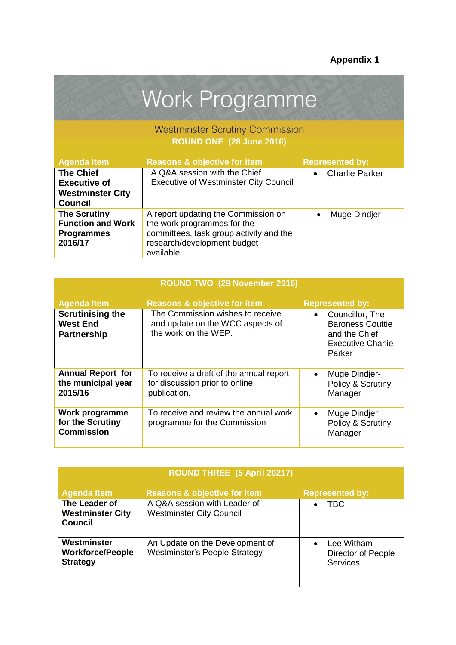# Work Programme

### Westminster Scrutiny Commission **ROUND ONE (28 June 2016)**

| <b>Agenda Item</b>                                                                   | <b>Reasons &amp; objective for item</b>                                                                                                                    | <b>Represented by:</b> |
|--------------------------------------------------------------------------------------|------------------------------------------------------------------------------------------------------------------------------------------------------------|------------------------|
| <b>The Chief</b><br><b>Executive of</b><br><b>Westminster City</b><br><b>Council</b> | A Q&A session with the Chief<br><b>Executive of Westminster City Council</b>                                                                               | <b>Charlie Parker</b>  |
| <b>The Scrutiny</b><br><b>Function and Work</b><br><b>Programmes</b><br>2016/17      | A report updating the Commission on<br>the work programmes for the<br>committees, task group activity and the<br>research/development budget<br>available. | Muge Dindjer           |

| ROUND TWO (29 November 2016)                                     |                                                                                              |                                                                                                                |  |  |
|------------------------------------------------------------------|----------------------------------------------------------------------------------------------|----------------------------------------------------------------------------------------------------------------|--|--|
| <b>Agenda Item</b>                                               | <b>Reasons &amp; objective for item</b>                                                      | <b>Represented by:</b>                                                                                         |  |  |
| <b>Scrutinising the</b><br><b>West End</b><br><b>Partnership</b> | The Commission wishes to receive<br>and update on the WCC aspects of<br>the work on the WEP. | Councillor, The<br>$\bullet$<br><b>Baroness Couttie</b><br>and the Chief<br><b>Executive Charlie</b><br>Parker |  |  |
| <b>Annual Report for</b><br>the municipal year<br>2015/16        | To receive a draft of the annual report<br>for discussion prior to online<br>publication.    | Muge Dindjer-<br>$\bullet$<br>Policy & Scrutiny<br>Manager                                                     |  |  |
| Work programme<br>for the Scrutiny<br><b>Commission</b>          | To receive and review the annual work<br>programme for the Commission                        | Muge Dindjer<br>$\bullet$<br>Policy & Scrutiny<br>Manager                                                      |  |  |

| <b>ROUND THREE</b> (5 April 20217)                         |                                                                         |                                                                  |  |
|------------------------------------------------------------|-------------------------------------------------------------------------|------------------------------------------------------------------|--|
| <b>Agenda Item</b>                                         | <b>Reasons &amp; objective for item</b>                                 | <b>Represented by:</b>                                           |  |
| The Leader of<br><b>Westminster City</b><br><b>Council</b> | A Q&A session with Leader of<br><b>Westminster City Council</b>         | TBC                                                              |  |
| Westminster<br><b>Workforce/People</b><br><b>Strategy</b>  | An Update on the Development of<br><b>Westminster's People Strategy</b> | Lee Witham<br>$\bullet$<br>Director of People<br><b>Services</b> |  |